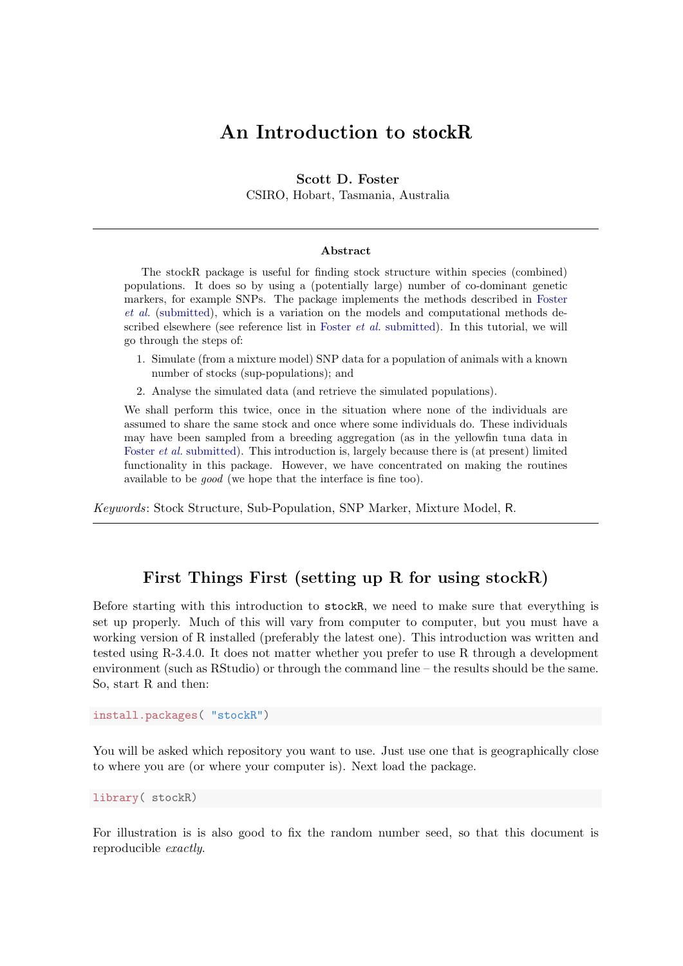# An Introduction to stockR

### Scott D. Foster

CSIRO, Hobart, Tasmania, Australia

#### Abstract

The stockR package is useful for finding stock structure within species (combined) populations. It does so by using a (potentially large) number of co-dominant genetic markers, for example SNPs. The package implements the methods described in [Foster](#page-9-0) [et al.](#page-9-0) [\(submitted\)](#page-9-0), which is a variation on the models and computational methods described elsewhere (see reference list in [Foster](#page-9-0) et al. [submitted\)](#page-9-0). In this tutorial, we will go through the steps of:

- 1. Simulate (from a mixture model) SNP data for a population of animals with a known number of stocks (sup-populations); and
- 2. Analyse the simulated data (and retrieve the simulated populations).

We shall perform this twice, once in the situation where none of the individuals are assumed to share the same stock and once where some individuals do. These individuals may have been sampled from a breeding aggregation (as in the yellowfin tuna data in [Foster](#page-9-0) *et al.* [submitted\)](#page-9-0). This introduction is, largely because there is (at present) limited functionality in this package. However, we have concentrated on making the routines available to be good (we hope that the interface is fine too).

Keywords: Stock Structure, Sub-Population, SNP Marker, Mixture Model, R.

# First Things First (setting up R for using stockR)

Before starting with this introduction to stockR, we need to make sure that everything is set up properly. Much of this will vary from computer to computer, but you must have a working version of R installed (preferably the latest one). This introduction was written and tested using R-3.4.0. It does not matter whether you prefer to use R through a development environment (such as RStudio) or through the command line – the results should be the same. So, start R and then:

install.packages( "stockR")

You will be asked which repository you want to use. Just use one that is geographically close to where you are (or where your computer is). Next load the package.

library( stockR)

For illustration is is also good to fix the random number seed, so that this document is reproducible exactly.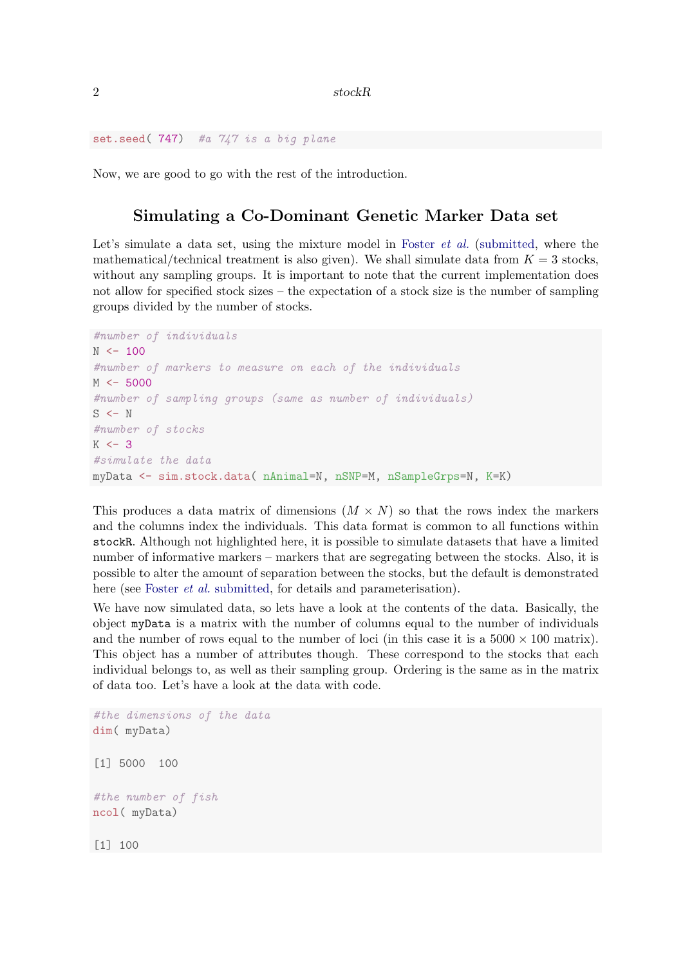set.seed(747) #a 747 is a big plane

Now, we are good to go with the rest of the introduction.

### Simulating a Co-Dominant Genetic Marker Data set

Let's simulate a data set, using the mixture model in [Foster](#page-9-0) *et al.* [\(submitted,](#page-9-0) where the mathematical/technical treatment is also given). We shall simulate data from  $K = 3$  stocks, without any sampling groups. It is important to note that the current implementation does not allow for specified stock sizes – the expectation of a stock size is the number of sampling groups divided by the number of stocks.

```
#number of individuals
N < - 100#number of markers to measure on each of the individuals
M < -5000#number of sampling groups (same as number of individuals)
S \leftarrow N#number of stocks
K < -3#simulate the data
myData <- sim.stock.data( nAnimal=N, nSNP=M, nSampleGrps=N, K=K)
```
This produces a data matrix of dimensions  $(M \times N)$  so that the rows index the markers and the columns index the individuals. This data format is common to all functions within stockR. Although not highlighted here, it is possible to simulate datasets that have a limited number of informative markers – markers that are segregating between the stocks. Also, it is possible to alter the amount of separation between the stocks, but the default is demonstrated here (see [Foster](#page-9-0) *et al.* [submitted,](#page-9-0) for details and parameterisation).

We have now simulated data, so lets have a look at the contents of the data. Basically, the object myData is a matrix with the number of columns equal to the number of individuals and the number of rows equal to the number of loci (in this case it is a  $5000 \times 100$  matrix). This object has a number of attributes though. These correspond to the stocks that each individual belongs to, as well as their sampling group. Ordering is the same as in the matrix of data too. Let's have a look at the data with code.

```
#the dimensions of the data
dim( myData)
[1] 5000 100
#the number of fish
ncol( myData)
[1] 100
```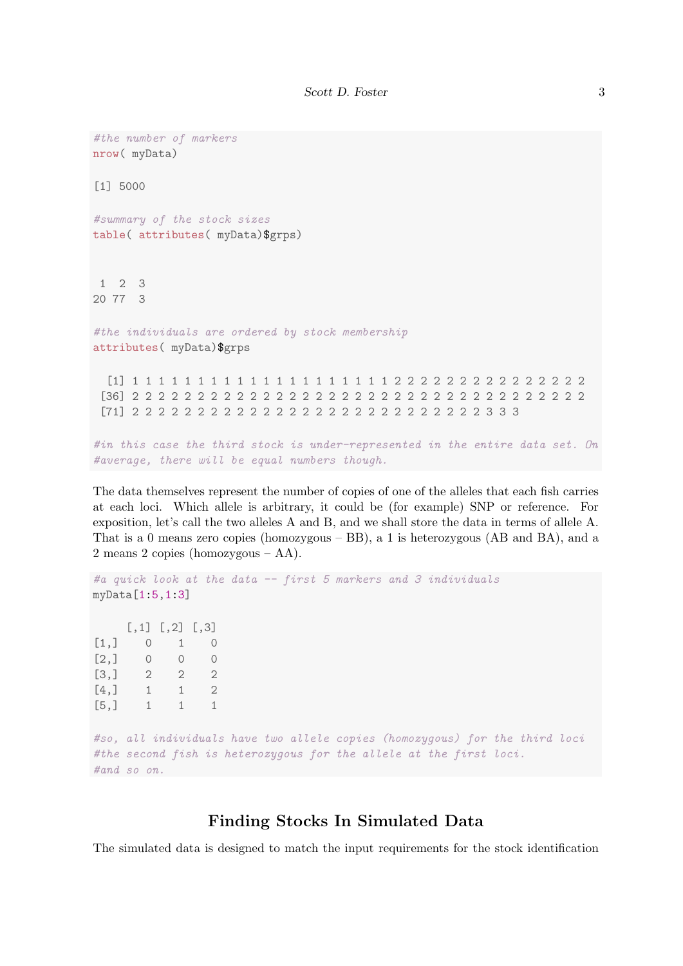```
#the number of markers
nrow( myData)
[1] 5000
#summary of the stock sizes
table( attributes( myData)$grps)
 1 2 3
20 77 3
#the individuals are ordered by stock membership
attributes( myData)$grps
  [1] 1 1 1 1 1 1 1 1 1 1 1 1 1 1 1 1 1 1 1 1 2 2 2 2 2 2 2 2 2 2 2 2 2 2 2
 [36] 2 2 2 2 2 2 2 2 2 2 2 2 2 2 2 2 2 2 2 2 2 2 2 2 2 2 2 2 2 2 2 2 2 2 2
 [71] 2 2 2 2 2 2 2 2 2 2 2 2 2 2 2 2 2 2 2 2 2 2 2 2 2 2 2 3 3 3
#in this case the third stock is under-represented in the entire data set. On
#average, there will be equal numbers though.
```
The data themselves represent the number of copies of one of the alleles that each fish carries at each loci. Which allele is arbitrary, it could be (for example) SNP or reference. For exposition, let's call the two alleles A and B, and we shall store the data in terms of allele A. That is a 0 means zero copies (homozygous – BB), a 1 is heterozygous (AB and BA), and a 2 means 2 copies (homozygous – AA).

```
#a quick look at the data -- first 5 markers and 3 individuals
myData[1:5,1:3]
    [,1] [,2] [,3][1,] 0 1 0
[2,] 0 0 0[3,] 2 2 2[4,] 1 1 2
[5,] 1 1 1
#so, all individuals have two allele copies (homozygous) for the third loci
#the second fish is heterozygous for the allele at the first loci.
#and so on.
```
# Finding Stocks In Simulated Data

The simulated data is designed to match the input requirements for the stock identification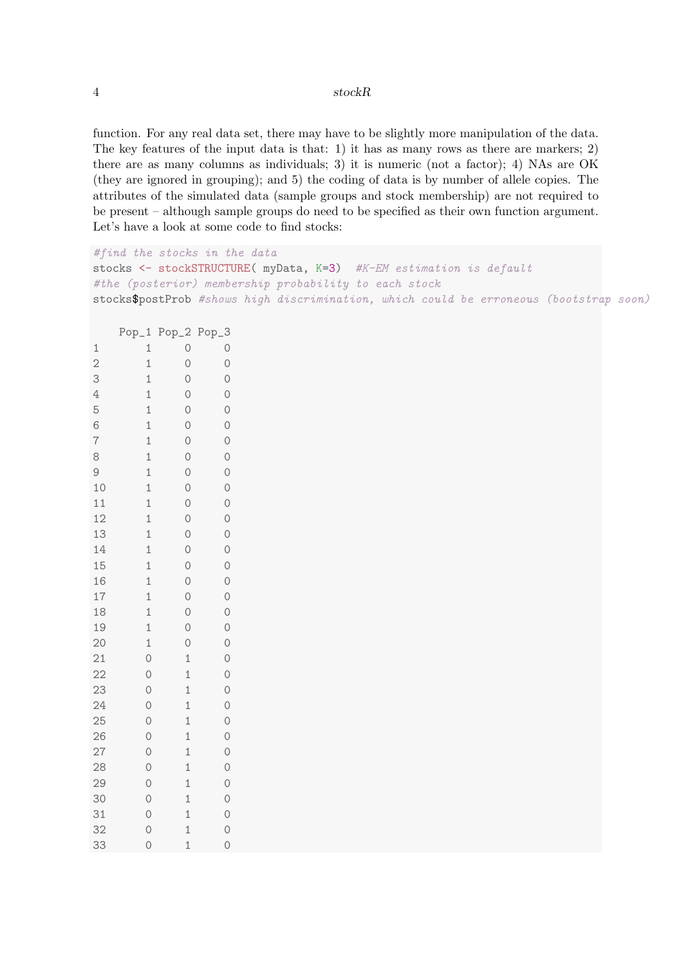#### 4 stockR

function. For any real data set, there may have to be slightly more manipulation of the data. The key features of the input data is that: 1) it has as many rows as there are markers; 2) there are as many columns as individuals; 3) it is numeric (not a factor); 4) NAs are OK (they are ignored in grouping); and 5) the coding of data is by number of allele copies. The attributes of the simulated data (sample groups and stock membership) are not required to be present – although sample groups do need to be specified as their own function argument. Let's have a look at some code to find stocks:

```
#find the stocks in the data
stocks <- stockSTRUCTURE(myData, K=3) #K-EM estimation is default
#the (posterior) membership probability to each stock
stocks$postProb #shows high discrimination, which could be erroneous (bootstrap soon)
```

|                 | $Pop_1$        | $Pop_2$      | $Pop_3$        |
|-----------------|----------------|--------------|----------------|
| $\mathbf 1$     | $\mathbf 1$    | $\circ$      | $\circ$        |
| $\overline{2}$  | $\mathbf 1$    | $\circ$      | $\circ$        |
| 3               | $\mathbf 1$    | $\circ$      | $\circ$        |
| $\overline{4}$  | $\mathbf 1$    | $\circ$      | $\circ$        |
| 5               | $\mathbf 1$    | $\circ$      | $\circ$        |
| 6               | $\mathbf 1$    | $\circ$      | $\circ$        |
| $\overline{7}$  | $\mathbf 1$    | $\circ$      | $\circ$        |
| 8               | $\mathbf{1}$   | $\circ$      | $\circ$        |
| 9               | $\mathbf 1$    | $\circ$      | $\circ$        |
| 10              | $\mathbf 1$    | $\circ$      | $\circ$        |
| 11              | $\mathbf 1$    | $\circ$      | $\overline{O}$ |
| 12              | $\mathbf{1}$   | $\circ$      | $\circ$        |
| 13              | $\mathbf{1}$   | $\circ$      | $\circ$        |
| 14              | $\mathbf 1$    | $\circ$      | $\circ$        |
| 15              | $\mathbf 1$    | $\circ$      | $\circ$        |
| 16              | $\mathbf{1}$   | $\circ$      | $\overline{O}$ |
| 17              | $\mathbf{1}$   | $\circ$      | $\circ$        |
| 18              | $\mathbf{1}$   | $\circ$      | $\circ$        |
| 19              | $\mathbf 1$    | $\circ$      | $\circ$        |
| 20              | $\mathbf 1$    | $\circ$      | $\circ$        |
| 21              | $\overline{O}$ | $\mathbf 1$  | $\circ$        |
| $\overline{22}$ | $\circ$        | $\mathbf{1}$ | $\circ$        |
| 23              | $\circ$        | $\mathbf 1$  | $\circ$        |
| 24              | $\circ$        | $\mathbf 1$  | $\circ$        |
| 25              | $\circ$        | $\mathbf 1$  | $\circ$        |
| 26              | $\circ$        | $\mathbf 1$  | $\circ$        |
| 27              | $\circ$        | $\mathbf 1$  | $\circ$        |
| 28              | $\circ$        | $\mathbf 1$  | $\circ$        |
| 29              | $\circ$        | $\mathbf{1}$ | $\circ$        |
| 30              | $\circ$        | $\mathbf 1$  | $\circ$        |
| 31              | $\overline{O}$ | $\mathbf 1$  | $\overline{0}$ |
| 32              | $\overline{O}$ | $\mathbf 1$  | $\circ$        |
| 33              | $\overline{O}$ | $\mathbf 1$  | $\overline{O}$ |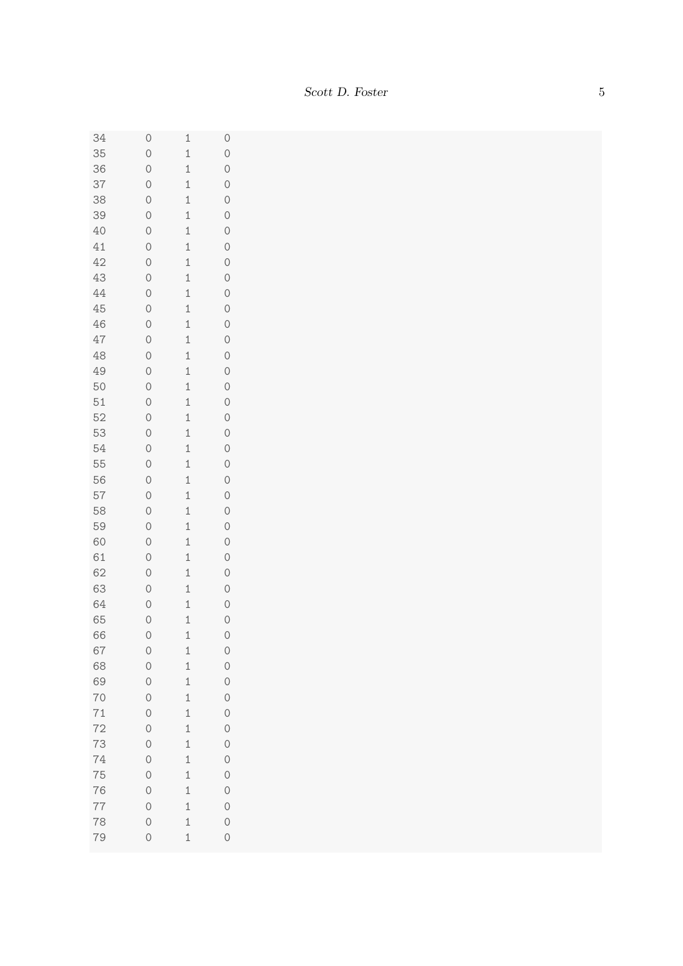| 34 | $\circ$        | $\mathbf{1}$ | $\circ$        |
|----|----------------|--------------|----------------|
| 35 | $\circ$        | $\mathbf{1}$ | $\circ$        |
| 36 | $\circ$        | $\mathbf 1$  | $\circ$        |
| 37 | $\circ$        | $\mathbf 1$  | $\circ$        |
| 38 | $\circ$        | $\mathbf 1$  | $\circ$        |
| 39 | $\circ$        | $\mathbf{1}$ | $\circ$        |
| 40 | $\circ$        | $\mathbf 1$  | $\circ$        |
| 41 | $\circ$        | $\mathbf 1$  | $\circ$        |
| 42 | $\circ$        | $\mathbf 1$  | $\circ$        |
| 43 | $\overline{0}$ | $\mathbf 1$  | $\circ$        |
| 44 | $\circ$        | $\mathbf 1$  | $\circ$        |
| 45 | $\circ$        | $\mathbf{1}$ | $\circ$        |
| 46 | $\circ$        | $\mathbf{1}$ | $\circ$        |
| 47 | $\circ$        | $\mathbf{1}$ | $\circ$        |
| 48 | $\circ$        | $\mathbf{1}$ | $\circ$        |
| 49 | $\circ$        | $\mathbf 1$  | $\circ$        |
| 50 | $\circ$        | $\mathbf 1$  | $\circ$        |
| 51 | $\circ$        | $\mathbf 1$  | $\circ$        |
| 52 | $\circ$        | $\mathbf 1$  | $\circ$        |
| 53 | $\circ$        | $\mathbf{1}$ | $\circ$        |
| 54 | $\circ$        | $\mathbf{1}$ | $\circ$        |
| 55 | $\circ$        | $\mathbf 1$  | $\circ$        |
| 56 | $\circ$        | $\mathbf{1}$ | $\circ$        |
| 57 | $\circ$        | $\mathbf 1$  | $\circ$        |
| 58 | $\circ$        | $\mathbf 1$  | $\circ$        |
| 59 | $\circ$        | $\mathbf 1$  | $\circ$        |
| 60 | $\circ$        | $\mathbf 1$  | $\circ$        |
| 61 | $\circ$        | $\mathbf{1}$ | $\circ$        |
| 62 | $\circ$        | $\mathbf{1}$ | $\circ$        |
| 63 | $\circ$        | $\mathbf 1$  | $\circ$        |
| 64 | $\circ$        | $\mathbf 1$  | $\circ$        |
| 65 | $\circ$        | $\mathbf 1$  | $\circ$        |
| 66 | $\overline{0}$ | $\mathbf{1}$ | $\overline{O}$ |
| 67 | $\circ$        | $\mathbf{1}$ | $\circ$        |
| 68 | $\circ$        | $\mathbf{1}$ | $\circ$        |
| 69 | $\circ$        | $\mathbf{1}$ | $\circ$        |
| 70 | $\circ$        | $\mathbf 1$  | $\circ$        |
| 71 | $\circ$        | $\mathbf 1$  | $\circ$        |
| 72 | $\circ$        | $\mathbf{1}$ | $\circ$        |
| 73 | $\circ$        | $\mathbf{1}$ | $\circ$        |
| 74 | $\circ$        | $\mathbf{1}$ | $\circ$        |
| 75 | $\circ$        | $\mathbf 1$  | $\circ$        |
| 76 | $\circ$        | $\mathbf 1$  | $\circ$        |
| 77 | $\circ$        | $\mathbf 1$  | $\circ$        |
| 78 | $\circ$        | $\mathbf 1$  | $\circ$        |
| 79 | $\circ$        | $\mathbf 1$  | $\overline{O}$ |
|    |                |              |                |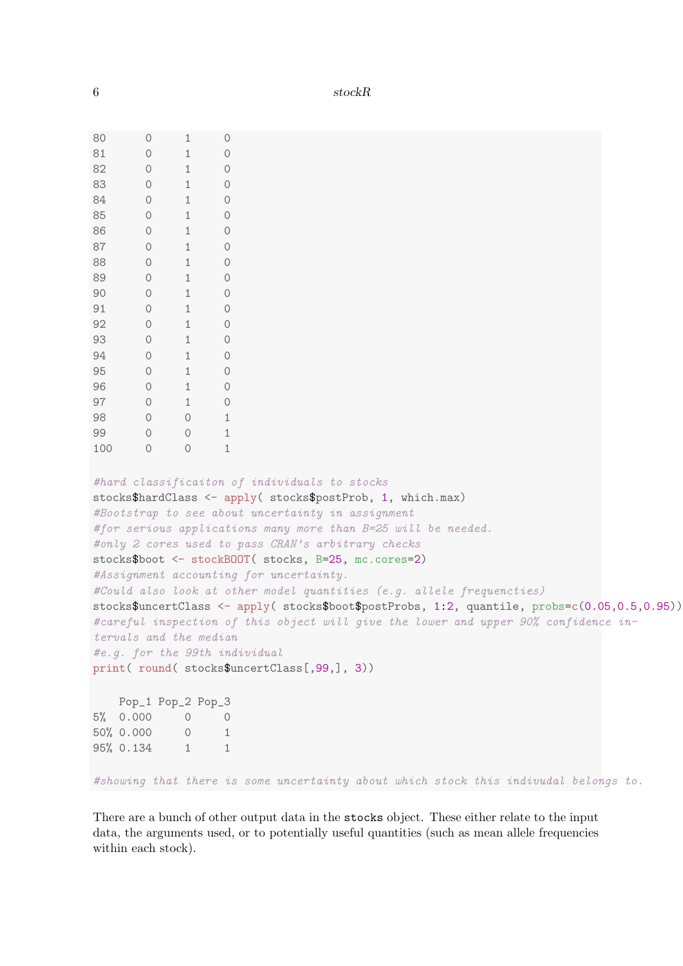| 80  | $\circ$                                                      | 1                 | $\circ$                                      |                                                                                                                                                                                                                                                                                                                                                                                                                                                                                                                                                                                                                                                                                                           |  |  |  |  |
|-----|--------------------------------------------------------------|-------------------|----------------------------------------------|-----------------------------------------------------------------------------------------------------------------------------------------------------------------------------------------------------------------------------------------------------------------------------------------------------------------------------------------------------------------------------------------------------------------------------------------------------------------------------------------------------------------------------------------------------------------------------------------------------------------------------------------------------------------------------------------------------------|--|--|--|--|
| 81  | $\circ$                                                      | 1                 | $\circ$                                      |                                                                                                                                                                                                                                                                                                                                                                                                                                                                                                                                                                                                                                                                                                           |  |  |  |  |
| 82  | $\circ$                                                      | 1                 | $\circ$                                      |                                                                                                                                                                                                                                                                                                                                                                                                                                                                                                                                                                                                                                                                                                           |  |  |  |  |
| 83  | $\circ$                                                      | 1                 | $\circ$                                      |                                                                                                                                                                                                                                                                                                                                                                                                                                                                                                                                                                                                                                                                                                           |  |  |  |  |
| 84  | $\circ$                                                      | 1                 | $\theta$                                     |                                                                                                                                                                                                                                                                                                                                                                                                                                                                                                                                                                                                                                                                                                           |  |  |  |  |
| 85  | $\circ$                                                      | 1                 | $\theta$                                     |                                                                                                                                                                                                                                                                                                                                                                                                                                                                                                                                                                                                                                                                                                           |  |  |  |  |
| 86  | $\circ$                                                      | 1                 | $\circ$                                      |                                                                                                                                                                                                                                                                                                                                                                                                                                                                                                                                                                                                                                                                                                           |  |  |  |  |
| 87  | $\circ$                                                      | $\mathbf{1}$      | $\circ$                                      |                                                                                                                                                                                                                                                                                                                                                                                                                                                                                                                                                                                                                                                                                                           |  |  |  |  |
| 88  | $\circ$                                                      | $\mathbf{1}$      | $\circ$                                      |                                                                                                                                                                                                                                                                                                                                                                                                                                                                                                                                                                                                                                                                                                           |  |  |  |  |
| 89  | $\circ$                                                      | 1                 | $\theta$                                     |                                                                                                                                                                                                                                                                                                                                                                                                                                                                                                                                                                                                                                                                                                           |  |  |  |  |
| 90  | $\circledcirc$                                               | 1                 | $\circ$                                      |                                                                                                                                                                                                                                                                                                                                                                                                                                                                                                                                                                                                                                                                                                           |  |  |  |  |
| 91  | $\circ$                                                      | 1                 | $\circ$                                      |                                                                                                                                                                                                                                                                                                                                                                                                                                                                                                                                                                                                                                                                                                           |  |  |  |  |
| 92  | $\circ$                                                      | $\mathbf{1}$      | $\circ$                                      |                                                                                                                                                                                                                                                                                                                                                                                                                                                                                                                                                                                                                                                                                                           |  |  |  |  |
| 93  | $\circ$                                                      | 1                 | $\circ$                                      |                                                                                                                                                                                                                                                                                                                                                                                                                                                                                                                                                                                                                                                                                                           |  |  |  |  |
| 94  | $\circ$                                                      | $\mathbf{1}$      | $\circ$                                      |                                                                                                                                                                                                                                                                                                                                                                                                                                                                                                                                                                                                                                                                                                           |  |  |  |  |
| 95  | $\circ$                                                      | $\mathbf{1}$      | $\circ$                                      |                                                                                                                                                                                                                                                                                                                                                                                                                                                                                                                                                                                                                                                                                                           |  |  |  |  |
| 96  | $\circ$                                                      | $\mathbf{1}$      | $\theta$                                     |                                                                                                                                                                                                                                                                                                                                                                                                                                                                                                                                                                                                                                                                                                           |  |  |  |  |
| 97  | $\circ$                                                      | $\mathbf{1}$      | $\theta$                                     |                                                                                                                                                                                                                                                                                                                                                                                                                                                                                                                                                                                                                                                                                                           |  |  |  |  |
| 98  | $\circ$                                                      | $\circ$           | 1                                            |                                                                                                                                                                                                                                                                                                                                                                                                                                                                                                                                                                                                                                                                                                           |  |  |  |  |
| 99  | $\circ$                                                      | $\circ$           | 1                                            |                                                                                                                                                                                                                                                                                                                                                                                                                                                                                                                                                                                                                                                                                                           |  |  |  |  |
| 100 | $\circ$                                                      | 0                 | 1                                            |                                                                                                                                                                                                                                                                                                                                                                                                                                                                                                                                                                                                                                                                                                           |  |  |  |  |
|     | tervals and the median<br>#e.g. for the 99th individual      |                   |                                              | #hard classificaiton of individuals to stocks<br>stocks\$hardClass <- apply( stocks\$postProb, 1, which.max)<br>#Bootstrap to see about uncertainty in assignment<br>#for serious applications many more than B=25 will be needed.<br>#only 2 cores used to pass CRAN's arbitrary checks<br>stocks\$boot <- stockBOOT( stocks, B=25, mc.cores=2)<br>#Assignment accounting for uncertainty.<br>#Could also look at other model quantities (e.g. allele frequencties)<br>stocks\$uncertClass <- apply(stocks\$boot\$postProbs, 1:2, quantile, probs=c(0.05,0.5,0.95))<br>#careful inspection of this object will give the lower and upper 90% confidence in-<br>print(round(stocks\$uncertClass[,99,], 3)) |  |  |  |  |
|     | Pop_1 Pop_2 Pop_3<br>$5\%$ 0.000<br>50% 0.000 0<br>95% 0.134 | 0<br>$\mathbf{1}$ | $\theta$<br>$\overline{1}$<br>$\overline{1}$ |                                                                                                                                                                                                                                                                                                                                                                                                                                                                                                                                                                                                                                                                                                           |  |  |  |  |
|     |                                                              |                   |                                              | #showing that there is some uncertainty about which stock this indivudal belongs to.                                                                                                                                                                                                                                                                                                                                                                                                                                                                                                                                                                                                                      |  |  |  |  |

There are a bunch of other output data in the stocks object. These either relate to the input data, the arguments used, or to potentially useful quantities (such as mean allele frequencies within each stock).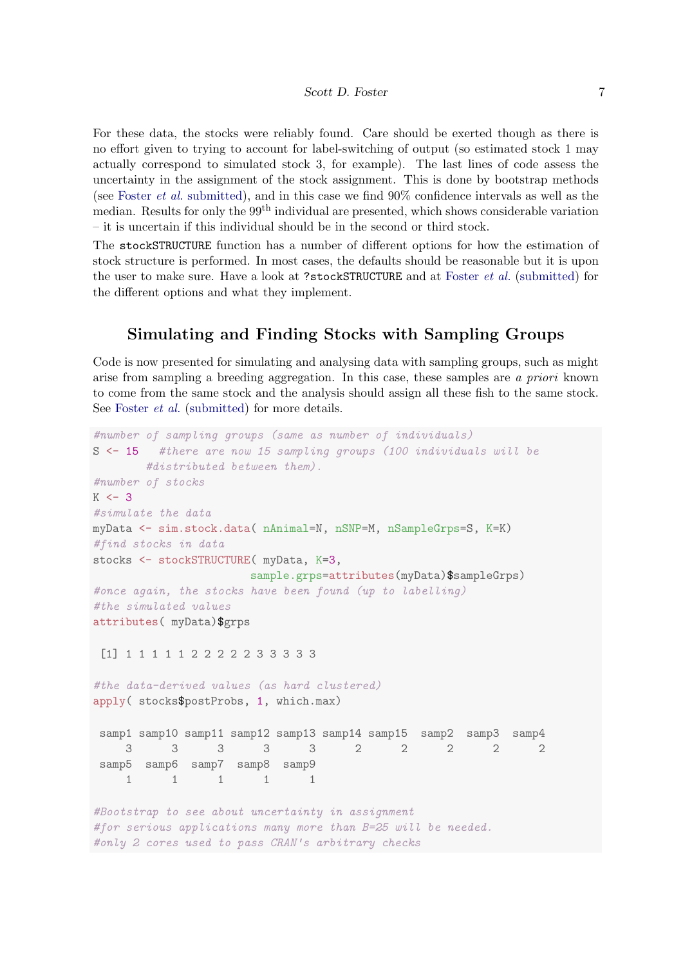For these data, the stocks were reliably found. Care should be exerted though as there is no effort given to trying to account for label-switching of output (so estimated stock 1 may actually correspond to simulated stock 3, for example). The last lines of code assess the uncertainty in the assignment of the stock assignment. This is done by bootstrap methods (see [Foster](#page-9-0) et al. [submitted\)](#page-9-0), and in this case we find 90% confidence intervals as well as the median. Results for only the 99<sup>th</sup> individual are presented, which shows considerable variation – it is uncertain if this individual should be in the second or third stock.

The stockSTRUCTURE function has a number of different options for how the estimation of stock structure is performed. In most cases, the defaults should be reasonable but it is upon the user to make sure. Have a look at ?stockSTRUCTURE and at [Foster](#page-9-0) et al. [\(submitted\)](#page-9-0) for the different options and what they implement.

# Simulating and Finding Stocks with Sampling Groups

Code is now presented for simulating and analysing data with sampling groups, such as might arise from sampling a breeding aggregation. In this case, these samples are a priori known to come from the same stock and the analysis should assign all these fish to the same stock. See [Foster](#page-9-0) *et al.* [\(submitted\)](#page-9-0) for more details.

```
#number of sampling groups (same as number of individuals)
S <- 15 #there are now 15 sampling groups (100 individuals will be
       #distributed between them).
#number of stocks
K < -3#simulate the data
myData <- sim.stock.data( nAnimal=N, nSNP=M, nSampleGrps=S, K=K)
#find stocks in data
stocks <- stockSTRUCTURE(myData, K=3,
                      sample.grps=attributes(myData)$sampleGrps)
#once again, the stocks have been found (up to labelling)
#the simulated values
attributes( myData)$grps
 [1] 1 1 1 1 1 2 2 2 2 2 3 3 3 3 3
#the data-derived values (as hard clustered)
apply( stocks$postProbs, 1, which.max)
samp1 samp10 samp11 samp12 samp13 samp14 samp15 samp2 samp3 samp4
    3 3 3 3 3 2 2 2 2 2
samp5 samp6 samp7 samp8 samp9
    1 1 1 1 1
#Bootstrap to see about uncertainty in assignment
#for serious applications many more than B=25 will be needed.
#only 2 cores used to pass CRAN's arbitrary checks
```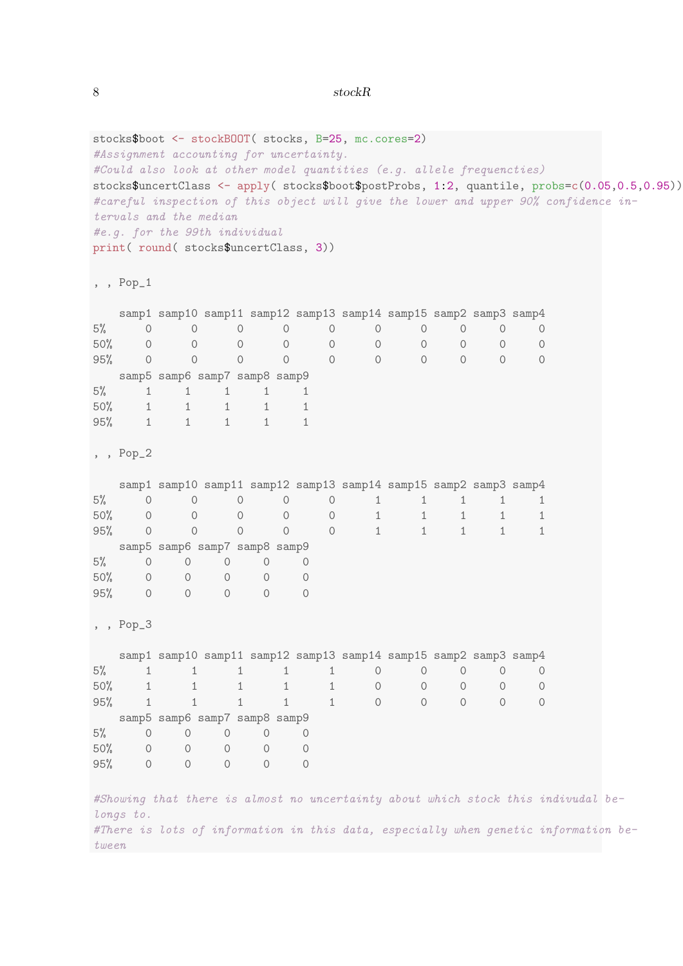#### 8 stockR

```
stocks$boot <- stockBOOT( stocks, B=25, mc.cores=2)
#Assignment accounting for uncertainty.
#Could also look at other model quantities (e.g. allele frequencties)
stocks$uncertClass <- apply( stocks$boot$postProbs, 1:2, quantile, probs=c(0.05,0.5,0.95))
#careful inspection of this object will give the lower and upper 90% confidence in-
tervals and the median
#e.g. for the 99th individual
print( round( stocks$uncertClass, 3))
, , Pop_1
  samp1 samp10 samp11 samp12 samp13 samp14 samp15 samp2 samp3 samp4
5% 0 0 0 0 0 0 0 0 0 0
50% 0 0 0 0 0 0 0 0 0 0
95% 0 0 0 0 0 0 0 0 0 0
samp5 samp6 samp7 samp8 samp9
5% 1 1 1 1 1
50% 1 1 1 1 1
95% 1 1 1 1 1
, , Pop_2
  samp1 samp10 samp11 samp12 samp13 samp14 samp15 samp2 samp3 samp4
5% 0 0 0 0 0 1 1 1 1 1
50% 0 0 0 0 0 0 1 1 1 1 1
95% 0 0 0 0 0 1 1 1 1 1
  samp5 samp6 samp7 samp8 samp9
5% 0 0 0 0 0
50% 0 0 0 0 0
95% 0 0 0 0 0
, , Pop_3
  samp1 samp10 samp11 samp12 samp13 samp14 samp15 samp2 samp3 samp4
5% 1 1 1 1 1 0 0 0 0 0
50% 1 1 1 1 1 0 0 0 0 0
95% 1 1 1 1 1 0 0 0 0 0
samp5 samp6 samp7 samp8 samp9
5% 0 0 0 0 0
50% 0 0 0 0 0
95% 0 0 0 0 0
#Showing that there is almost no uncertainty about which stock this indivudal be-
longs to.
#There is lots of information in this data, especially when genetic information be-
tween
```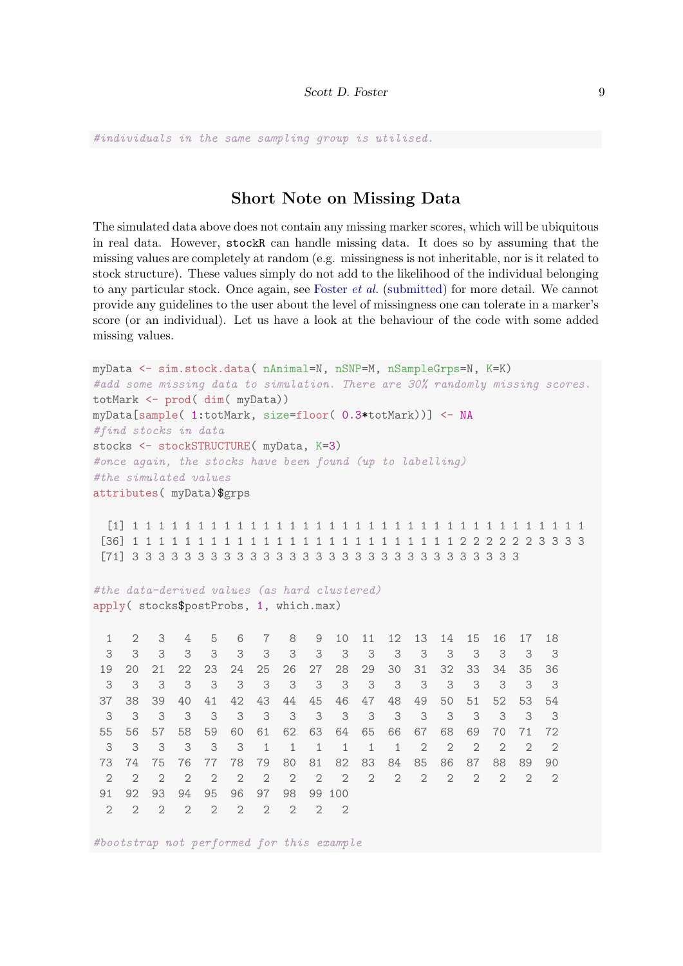#individuals in the same sampling group is utilised.

# Short Note on Missing Data

The simulated data above does not contain any missing marker scores, which will be ubiquitous in real data. However, stockR can handle missing data. It does so by assuming that the missing values are completely at random (e.g. missingness is not inheritable, nor is it related to stock structure). These values simply do not add to the likelihood of the individual belonging to any particular stock. Once again, see [Foster](#page-9-0) et al. [\(submitted\)](#page-9-0) for more detail. We cannot provide any guidelines to the user about the level of missingness one can tolerate in a marker's score (or an individual). Let us have a look at the behaviour of the code with some added missing values.

```
myData <- sim.stock.data( nAnimal=N, nSNP=M, nSampleGrps=N, K=K)
#add some missing data to simulation. There are 30% randomly missing scores.
totMark <- prod( dim( myData))
myData[sample( 1:totMark, size=floor( 0.3*totMark))] <- NA
#find stocks in data
stocks <- stockSTRUCTURE( myData, K=3)
#once again, the stocks have been found (up to labelling)
#the simulated values
attributes( myData)$grps
 [1] 1 1 1 1 1 1 1 1 1 1 1 1 1 1 1 1 1 1 1 1 1 1 1 1 1 1 1 1 1 1 1 1 1 1 1
[36] 1 1 1 1 1 1 1 1 1 1 1 1 1 1 1 1 1 1 1 1 1 1 1 1 1 2 2 2 2 2 2 3 3 3 3
[71] 3 3 3 3 3 3 3 3 3 3 3 3 3 3 3 3 3 3 3 3 3 3 3 3 3 3 3 3 3 3
#the data-derived values (as hard clustered)
apply( stocks$postProbs, 1, which.max)
 1 2 3 4 5 6 7 8 9 10 11 12 13 14 15 16 17 18
 3 3 3 3 3 3 3 3 3 3 3 3 3 3 3 3 3 3
 19 20 21 22 23 24 25 26 27 28 29 30 31 32 33 34 35 36
 3 3 3 3 3 3 3 3 3 3 3 3 3 3 3 3 3 3
 37 38 39 40 41 42 43 44 45 46 47 48 49 50 51 52 53 54
 3 3 3 3 3 3 3 3 3 3 3 3 3 3 3 3 3 3
 55 56 57 58 59 60 61 62 63 64 65 66 67 68 69 70 71 72
 3 3 3 3 3 3 1 1 1 1 1 1 2 2 2 2 2 2
 73 74 75 76 77 78 79 80 81 82 83 84 85 86 87 88 89 90
 2 2 2 2 2 2 2 2 2 2 2 2 2 2 2 2 2 2
91 92 93 94 95 96 97 98 99 100
 2 2 2 2 2 2 2 2 2 2
```
#bootstrap not performed for this example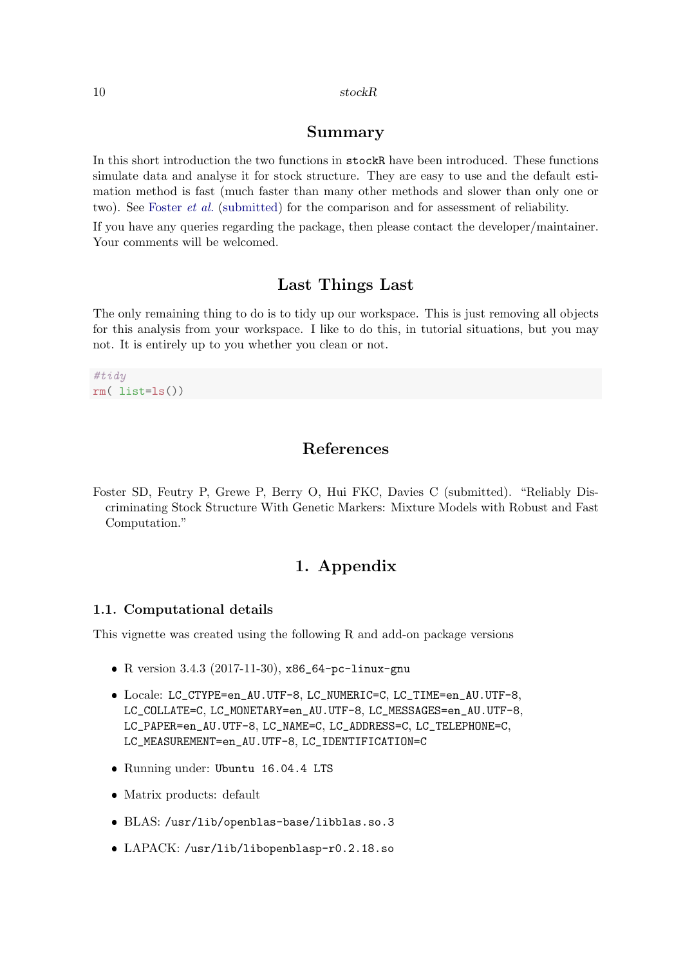### Summary

In this short introduction the two functions in stockR have been introduced. These functions simulate data and analyse it for stock structure. They are easy to use and the default estimation method is fast (much faster than many other methods and slower than only one or two). See [Foster](#page-9-0) *et al.* [\(submitted\)](#page-9-0) for the comparison and for assessment of reliability.

If you have any queries regarding the package, then please contact the developer/maintainer. Your comments will be welcomed.

### Last Things Last

The only remaining thing to do is to tidy up our workspace. This is just removing all objects for this analysis from your workspace. I like to do this, in tutorial situations, but you may not. It is entirely up to you whether you clean or not.

#tidy rm( list=ls())

# References

<span id="page-9-0"></span>Foster SD, Feutry P, Grewe P, Berry O, Hui FKC, Davies C (submitted). "Reliably Discriminating Stock Structure With Genetic Markers: Mixture Models with Robust and Fast Computation."

# 1. Appendix

#### 1.1. Computational details

This vignette was created using the following R and add-on package versions

- R version 3.4.3 (2017-11-30), x86\_64-pc-linux-gnu
- Locale: LC\_CTYPE=en\_AU.UTF-8, LC\_NUMERIC=C, LC\_TIME=en\_AU.UTF-8, LC\_COLLATE=C, LC\_MONETARY=en\_AU.UTF-8, LC\_MESSAGES=en\_AU.UTF-8, LC\_PAPER=en\_AU.UTF-8, LC\_NAME=C, LC\_ADDRESS=C, LC\_TELEPHONE=C, LC\_MEASUREMENT=en\_AU.UTF-8, LC\_IDENTIFICATION=C
- Running under: Ubuntu 16.04.4 LTS
- Matrix products: default
- BLAS: /usr/lib/openblas-base/libblas.so.3
- LAPACK: /usr/lib/libopenblasp-r0.2.18.so